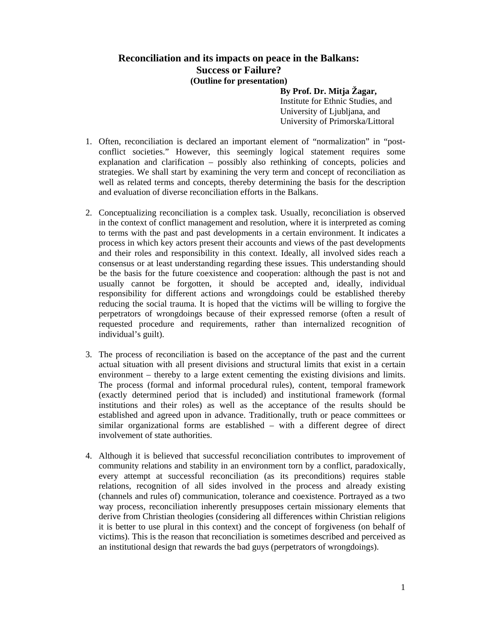## **Reconciliation and its impacts on peace in the Balkans: Success or Failure? (Outline for presentation)**

 **By Prof. Dr. Mitja Žagar,**  Institute for Ethnic Studies, and University of Ljubljana, and University of Primorska/Littoral

- 1. Often, reconciliation is declared an important element of "normalization" in "postconflict societies." However, this seemingly logical statement requires some explanation and clarification – possibly also rethinking of concepts, policies and strategies. We shall start by examining the very term and concept of reconciliation as well as related terms and concepts, thereby determining the basis for the description and evaluation of diverse reconciliation efforts in the Balkans.
- 2. Conceptualizing reconciliation is a complex task. Usually, reconciliation is observed in the context of conflict management and resolution, where it is interpreted as coming to terms with the past and past developments in a certain environment. It indicates a process in which key actors present their accounts and views of the past developments and their roles and responsibility in this context. Ideally, all involved sides reach a consensus or at least understanding regarding these issues. This understanding should be the basis for the future coexistence and cooperation: although the past is not and usually cannot be forgotten, it should be accepted and, ideally, individual responsibility for different actions and wrongdoings could be established thereby reducing the social trauma. It is hoped that the victims will be willing to forgive the perpetrators of wrongdoings because of their expressed remorse (often a result of requested procedure and requirements, rather than internalized recognition of individual's guilt).
- 3. The process of reconciliation is based on the acceptance of the past and the current actual situation with all present divisions and structural limits that exist in a certain environment – thereby to a large extent cementing the existing divisions and limits. The process (formal and informal procedural rules), content, temporal framework (exactly determined period that is included) and institutional framework (formal institutions and their roles) as well as the acceptance of the results should be established and agreed upon in advance. Traditionally, truth or peace committees or similar organizational forms are established – with a different degree of direct involvement of state authorities.
- 4. Although it is believed that successful reconciliation contributes to improvement of community relations and stability in an environment torn by a conflict, paradoxically, every attempt at successful reconciliation (as its preconditions) requires stable relations, recognition of all sides involved in the process and already existing (channels and rules of) communication, tolerance and coexistence. Portrayed as a two way process, reconciliation inherently presupposes certain missionary elements that derive from Christian theologies (considering all differences within Christian religions it is better to use plural in this context) and the concept of forgiveness (on behalf of victims). This is the reason that reconciliation is sometimes described and perceived as an institutional design that rewards the bad guys (perpetrators of wrongdoings).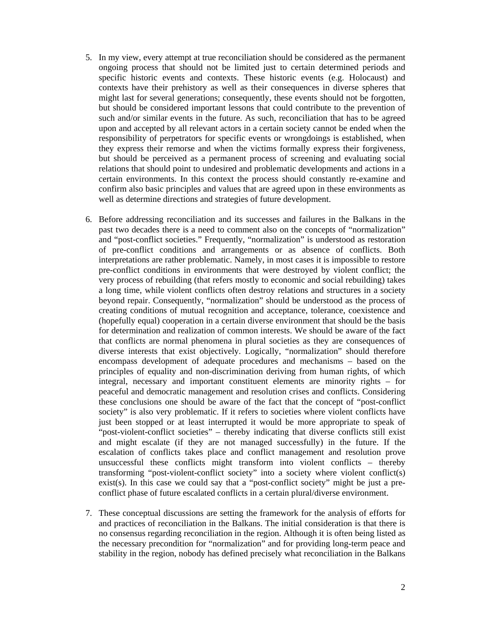- 5. In my view, every attempt at true reconciliation should be considered as the permanent ongoing process that should not be limited just to certain determined periods and specific historic events and contexts. These historic events (e.g. Holocaust) and contexts have their prehistory as well as their consequences in diverse spheres that might last for several generations; consequently, these events should not be forgotten, but should be considered important lessons that could contribute to the prevention of such and/or similar events in the future. As such, reconciliation that has to be agreed upon and accepted by all relevant actors in a certain society cannot be ended when the responsibility of perpetrators for specific events or wrongdoings is established, when they express their remorse and when the victims formally express their forgiveness, but should be perceived as a permanent process of screening and evaluating social relations that should point to undesired and problematic developments and actions in a certain environments. In this context the process should constantly re-examine and confirm also basic principles and values that are agreed upon in these environments as well as determine directions and strategies of future development.
- 6. Before addressing reconciliation and its successes and failures in the Balkans in the past two decades there is a need to comment also on the concepts of "normalization" and "post-conflict societies." Frequently, "normalization" is understood as restoration of pre-conflict conditions and arrangements or as absence of conflicts. Both interpretations are rather problematic. Namely, in most cases it is impossible to restore pre-conflict conditions in environments that were destroyed by violent conflict; the very process of rebuilding (that refers mostly to economic and social rebuilding) takes a long time, while violent conflicts often destroy relations and structures in a society beyond repair. Consequently, "normalization" should be understood as the process of creating conditions of mutual recognition and acceptance, tolerance, coexistence and (hopefully equal) cooperation in a certain diverse environment that should be the basis for determination and realization of common interests. We should be aware of the fact that conflicts are normal phenomena in plural societies as they are consequences of diverse interests that exist objectively. Logically, "normalization" should therefore encompass development of adequate procedures and mechanisms – based on the principles of equality and non-discrimination deriving from human rights, of which integral, necessary and important constituent elements are minority rights – for peaceful and democratic management and resolution crises and conflicts. Considering these conclusions one should be aware of the fact that the concept of "post-conflict society" is also very problematic. If it refers to societies where violent conflicts have just been stopped or at least interrupted it would be more appropriate to speak of "post-violent-conflict societies" – thereby indicating that diverse conflicts still exist and might escalate (if they are not managed successfully) in the future. If the escalation of conflicts takes place and conflict management and resolution prove unsuccessful these conflicts might transform into violent conflicts – thereby transforming "post-violent-conflict society" into a society where violent conflict(s) exist(s). In this case we could say that a "post-conflict society" might be just a preconflict phase of future escalated conflicts in a certain plural/diverse environment.
- 7. These conceptual discussions are setting the framework for the analysis of efforts for and practices of reconciliation in the Balkans. The initial consideration is that there is no consensus regarding reconciliation in the region. Although it is often being listed as the necessary precondition for "normalization" and for providing long-term peace and stability in the region, nobody has defined precisely what reconciliation in the Balkans